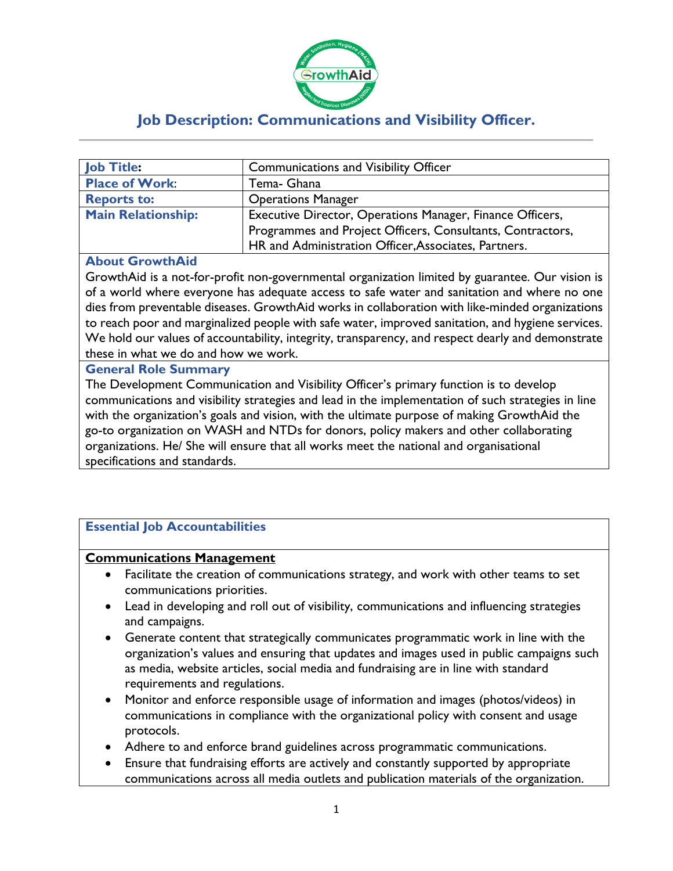

# **Job Description: Communications and Visibility Officer.**

| <b>Job Title:</b>         | <b>Communications and Visibility Officer</b>               |
|---------------------------|------------------------------------------------------------|
| <b>Place of Work:</b>     | Tema- Ghana                                                |
| <b>Reports to:</b>        | <b>Operations Manager</b>                                  |
| <b>Main Relationship:</b> | Executive Director, Operations Manager, Finance Officers,  |
|                           | Programmes and Project Officers, Consultants, Contractors, |
|                           | HR and Administration Officer, Associates, Partners.       |

#### **About GrowthAid**

GrowthAid is a not-for-profit non-governmental organization limited by guarantee. Our vision is of a world where everyone has adequate access to safe water and sanitation and where no one dies from preventable diseases. GrowthAid works in collaboration with like-minded organizations to reach poor and marginalized people with safe water, improved sanitation, and hygiene services. We hold our values of accountability, integrity, transparency, and respect dearly and demonstrate these in what we do and how we work.

#### **General Role Summary**

The Development Communication and Visibility Officer's primary function is to develop communications and visibility strategies and lead in the implementation of such strategies in line with the organization's goals and vision, with the ultimate purpose of making GrowthAid the go-to organization on WASH and NTDs for donors, policy makers and other collaborating organizations. He/ She will ensure that all works meet the national and organisational specifications and standards.

# **Essential Job Accountabilities**

#### **Communications Management**

- Facilitate the creation of communications strategy, and work with other teams to set communications priorities.
- Lead in developing and roll out of visibility, communications and influencing strategies and campaigns.
- Generate content that strategically communicates programmatic work in line with the organization's values and ensuring that updates and images used in public campaigns such as media, website articles, social media and fundraising are in line with standard requirements and regulations.
- Monitor and enforce responsible usage of information and images (photos/videos) in communications in compliance with the organizational policy with consent and usage protocols.
- Adhere to and enforce brand guidelines across programmatic communications.
- Ensure that fundraising efforts are actively and constantly supported by appropriate communications across all media outlets and publication materials of the organization.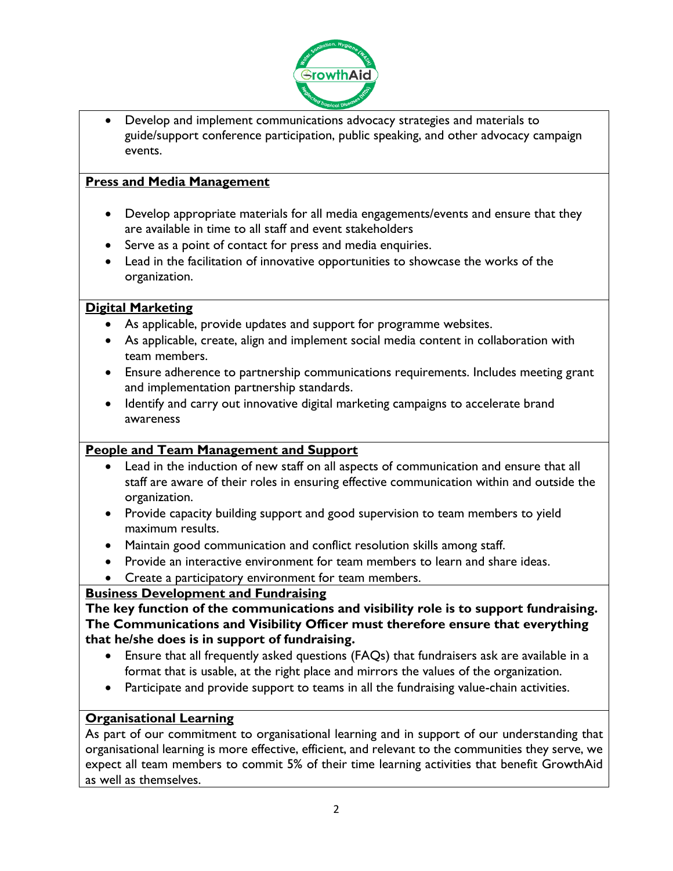

• Develop and implement communications advocacy strategies and materials to guide/support conference participation, public speaking, and other advocacy campaign events.

### **Press and Media Management**

- Develop appropriate materials for all media engagements/events and ensure that they are available in time to all staff and event stakeholders
- Serve as a point of contact for press and media enquiries.
- Lead in the facilitation of innovative opportunities to showcase the works of the organization.

#### **Digital Marketing**

- As applicable, provide updates and support for programme websites.
- As applicable, create, align and implement social media content in collaboration with team members.
- Ensure adherence to partnership communications requirements. Includes meeting grant and implementation partnership standards.
- Identify and carry out innovative digital marketing campaigns to accelerate brand awareness

# **People and Team Management and Support**

- Lead in the induction of new staff on all aspects of communication and ensure that all staff are aware of their roles in ensuring effective communication within and outside the organization.
- Provide capacity building support and good supervision to team members to yield maximum results.
- Maintain good communication and conflict resolution skills among staff.
- Provide an interactive environment for team members to learn and share ideas.
- Create a participatory environment for team members.

# **Business Development and Fundraising**

**The key function of the communications and visibility role is to support fundraising. The Communications and Visibility Officer must therefore ensure that everything that he/she does is in support of fundraising.**

- Ensure that all frequently asked questions (FAQs) that fundraisers ask are available in a format that is usable, at the right place and mirrors the values of the organization.
- Participate and provide support to teams in all the fundraising value-chain activities.

# **Organisational Learning**

As part of our commitment to organisational learning and in support of our understanding that organisational learning is more effective, efficient, and relevant to the communities they serve, we expect all team members to commit 5% of their time learning activities that benefit GrowthAid as well as themselves.